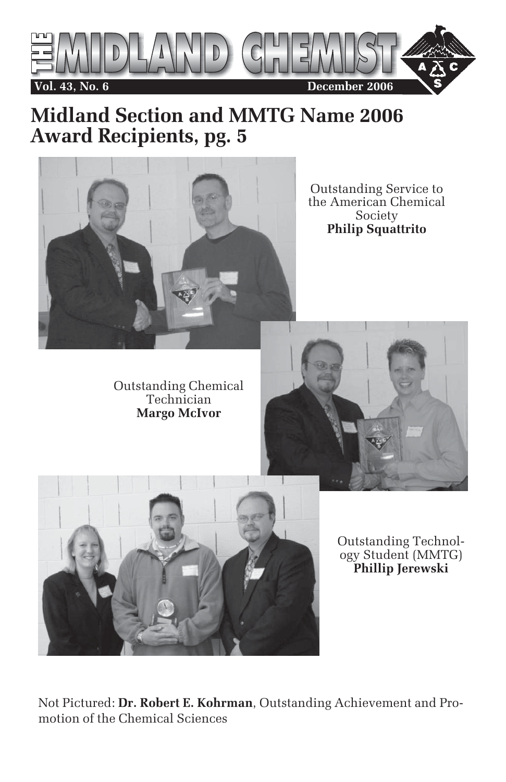

## **Midland Section and MMTG Name 2006 Award Recipients, pg. 5**



Outstanding Service to the American Chemical Society **Philip Squattrito**

Outstanding Chemical Technician **Margo McIvor**





Outstanding Technology Student (MMTG) **Phillip Jerewski**

Not Pictured: **Dr. Robert E. Kohrman**, Outstanding Achievement and Promotion of the Chemical Sciences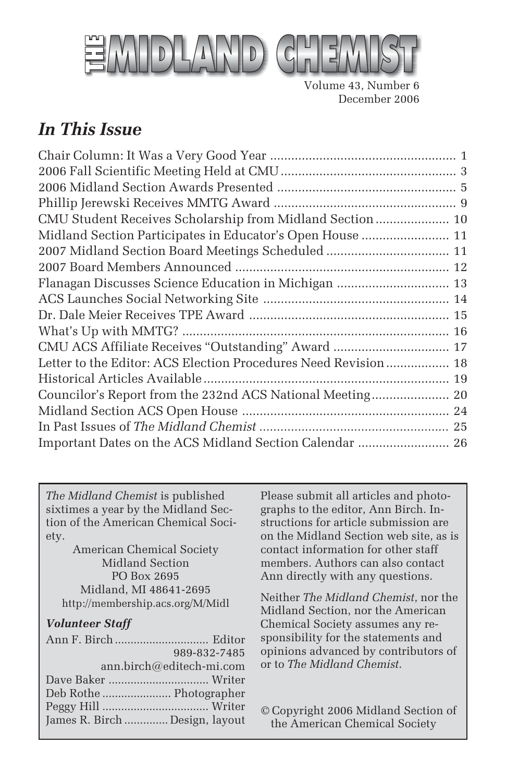

Volume 43, Number 6 December 2006

## *In This Issue*

| CMU Student Receives Scholarship from Midland Section  10       |  |
|-----------------------------------------------------------------|--|
| Midland Section Participates in Educator's Open House  11       |  |
| 2007 Midland Section Board Meetings Scheduled  11               |  |
|                                                                 |  |
|                                                                 |  |
|                                                                 |  |
|                                                                 |  |
|                                                                 |  |
| CMU ACS Affiliate Receives "Outstanding" Award  17              |  |
| Letter to the Editor: ACS Election Procedures Need Revision  18 |  |
|                                                                 |  |
|                                                                 |  |
|                                                                 |  |
|                                                                 |  |
| Important Dates on the ACS Midland Section Calendar  26         |  |

*The Midland Chemist* is published sixtimes a year by the Midland Section of the American Chemical Society.

American Chemical Society Midland Section PO Box 2695 Midland, MI 48641-2695 http://membership.acs.org/M/Midl

#### *Volunteer Staff*

| 989-832-7485                   |  |
|--------------------------------|--|
| ann.birch@editech-mi.com       |  |
|                                |  |
|                                |  |
|                                |  |
| James R. Birch  Design, layout |  |

Please submit all articles and photographs to the editor, Ann Birch. Instructions for article submission are on the Midland Section web site, as is contact information for other staff members. Authors can also contact Ann directly with any questions.

Neither *The Midland Chemist*, nor the Midland Section, nor the American Chemical Society assumes any responsibility for the statements and opinions advanced by contributors of or to *The Midland Chemist*.

© Copyright 2006 Midland Section of the American Chemical Society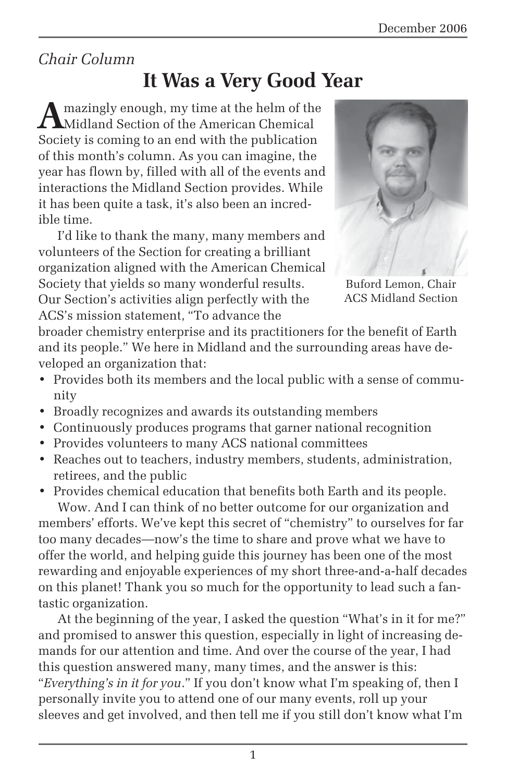## *Chair Column*

## **It Was a Very Good Year**

mazingly enough, my time at the helm of the Midland Section of the American Chemical Society is coming to an end with the publication of this month's column. As you can imagine, the year has flown by, filled with all of the events and interactions the Midland Section provides. While it has been quite a task, it's also been an incredible time.

I'd like to thank the many, many members and volunteers of the Section for creating a brilliant organization aligned with the American Chemical Society that yields so many wonderful results. Our Section's activities align perfectly with the ACS's mission statement, "To advance the



ACS Midland Section

broader chemistry enterprise and its practitioners for the benefit of Earth and its people." We here in Midland and the surrounding areas have developed an organization that:

- Provides both its members and the local public with a sense of community
- Broadly recognizes and awards its outstanding members
- Continuously produces programs that garner national recognition
- Provides volunteers to many ACS national committees
- Reaches out to teachers, industry members, students, administration, retirees, and the public

• Provides chemical education that benefits both Earth and its people. Wow. And I can think of no better outcome for our organization and members' efforts. We've kept this secret of "chemistry" to ourselves for far too many decades—now's the time to share and prove what we have to offer the world, and helping guide this journey has been one of the most rewarding and enjoyable experiences of my short three-and-a-half decades on this planet! Thank you so much for the opportunity to lead such a fantastic organization.

At the beginning of the year, I asked the question "What's in it for me?" and promised to answer this question, especially in light of increasing demands for our attention and time. And over the course of the year, I had this question answered many, many times, and the answer is this: "*Everything's in it for you*." If you don't know what I'm speaking of, then I personally invite you to attend one of our many events, roll up your sleeves and get involved, and then tell me if you still don't know what I'm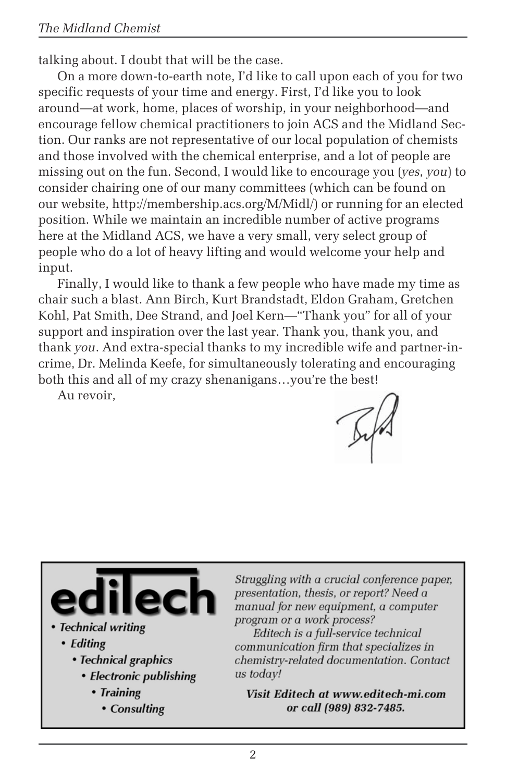talking about. I doubt that will be the case.

On a more down-to-earth note, I'd like to call upon each of you for two specific requests of your time and energy. First, I'd like you to look around—at work, home, places of worship, in your neighborhood—and encourage fellow chemical practitioners to join ACS and the Midland Section. Our ranks are not representative of our local population of chemists and those involved with the chemical enterprise, and a lot of people are missing out on the fun. Second, I would like to encourage you (*yes, you*) to consider chairing one of our many committees (which can be found on our website, http://membership.acs.org/M/Midl/) or running for an elected position. While we maintain an incredible number of active programs here at the Midland ACS, we have a very small, very select group of people who do a lot of heavy lifting and would welcome your help and input.

Finally, I would like to thank a few people who have made my time as chair such a blast. Ann Birch, Kurt Brandstadt, Eldon Graham, Gretchen Kohl, Pat Smith, Dee Strand, and Joel Kern—"Thank you" for all of your support and inspiration over the last year. Thank you, thank you, and thank *you*. And extra-special thanks to my incredible wife and partner-incrime, Dr. Melinda Keefe, for simultaneously tolerating and encouraging both this and all of my crazy shenanigans…you're the best!

Au revoir,



- Technical writing
	- Editing
		- Technical graphics
			- Electronic publishing
				- Training
					- Consulting

Struggling with a crucial conference paper, presentation, thesis, or report? Need a manual for new equipment, a computer program or a work process?

Editech is a full-service technical communication firm that specializes in chemistry-related documentation. Contact us todav!

Visit Editech at www.editech-mi.com or call (989) 832-7485.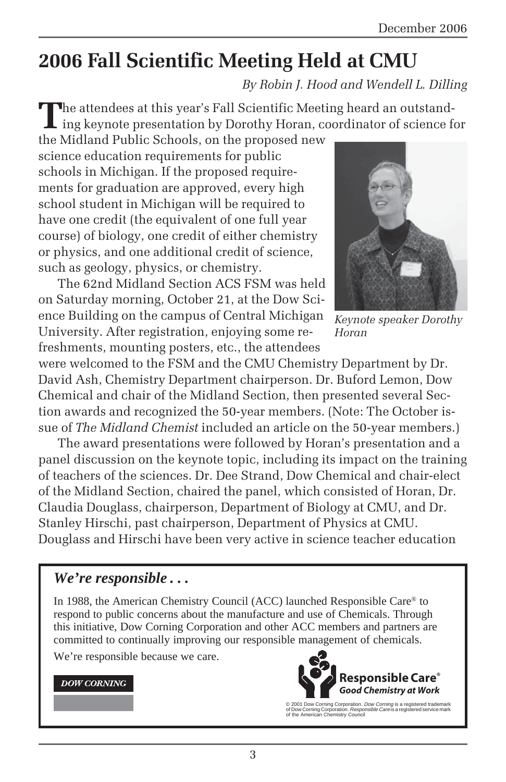# **2006 Fall Scientific Meeting Held at CMU**

*By Robin J. Hood and Wendell L. Dilling*

The attendees at this year's Fall Scientific Meeting heard an outstanding keynote presentation by Dorothy Horan, coordinator of science for

the Midland Public Schools, on the proposed new science education requirements for public schools in Michigan. If the proposed requirements for graduation are approved, every high school student in Michigan will be required to have one credit (the equivalent of one full year course) of biology, one credit of either chemistry or physics, and one additional credit of science, such as geology, physics, or chemistry.

The 62nd Midland Section ACS FSM was held on Saturday morning, October 21, at the Dow Science Building on the campus of Central Michigan University. After registration, enjoying some refreshments, mounting posters, etc., the attendees



*Keynote speaker Dorothy Horan*

were welcomed to the FSM and the CMU Chemistry Department by Dr. David Ash, Chemistry Department chairperson. Dr. Buford Lemon, Dow Chemical and chair of the Midland Section, then presented several Section awards and recognized the 50-year members. (Note: The October issue of *The Midland Chemist* included an article on the 50-year members.)

The award presentations were followed by Horan's presentation and a panel discussion on the keynote topic, including its impact on the training of teachers of the sciences. Dr. Dee Strand, Dow Chemical and chair-elect of the Midland Section, chaired the panel, which consisted of Horan, Dr. Claudia Douglass, chairperson, Department of Biology at CMU, and Dr. Stanley Hirschi, past chairperson, Department of Physics at CMU. Douglass and Hirschi have been very active in science teacher education

#### *We're responsible . . .*

In 1988, the American Chemistry Council (ACC) launched Responsible Care® to respond to public concerns about the manufacture and use of Chemicals. Through this initiative, Dow Corning Corporation and other ACC members and partners are committed to continually improving our responsible management of chemicals.

We're responsible because we care.

#### **DOW CORNING**



<sup>© 2001</sup> Dow Corning Corporation. *Dow Corning* is a registered trademark<br>of Dow Corning Corporation. *Responsible Care* is a registered service mark<br>of the American Chemistry Council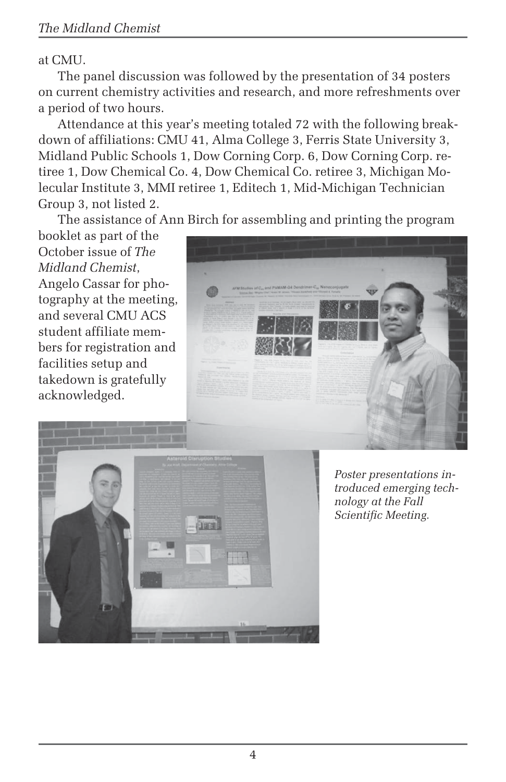#### at CMU.

The panel discussion was followed by the presentation of 34 posters on current chemistry activities and research, and more refreshments over a period of two hours.

Attendance at this year's meeting totaled 72 with the following breakdown of affiliations: CMU 41, Alma College 3, Ferris State University 3, Midland Public Schools 1, Dow Corning Corp. 6, Dow Corning Corp. retiree 1, Dow Chemical Co. 4, Dow Chemical Co. retiree 3, Michigan Molecular Institute 3, MMI retiree 1, Editech 1, Mid-Michigan Technician Group 3, not listed 2.

The assistance of Ann Birch for assembling and printing the program

booklet as part of the October issue of *The Midland Chemist*, Angelo Cassar for photography at the meeting, and several CMU ACS student affiliate members for registration and facilities setup and takedown is gratefully acknowledged.





*Poster presentations introduced emerging technology at the Fall Scientific Meeting.*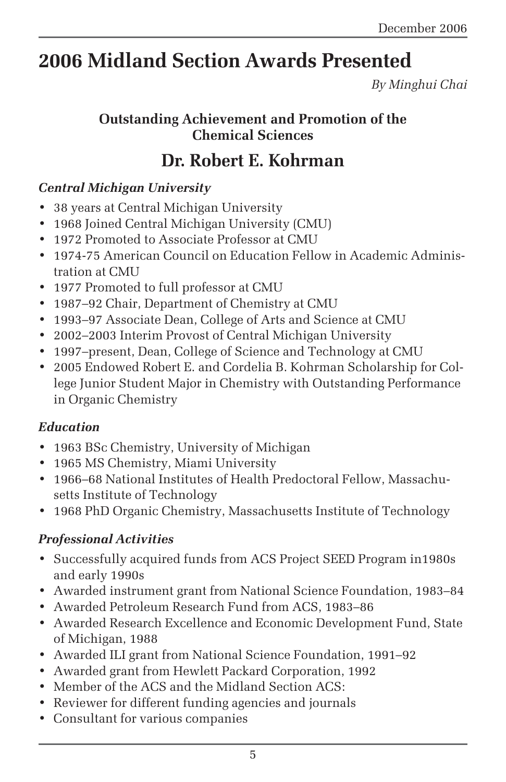# **2006 Midland Section Awards Presented**

*By Minghui Chai*

### **Outstanding Achievement and Promotion of the Chemical Sciences**

## **Dr. Robert E. Kohrman**

### *Central Michigan University*

- 38 years at Central Michigan University
- 1968 Joined Central Michigan University (CMU)
- 1972 Promoted to Associate Professor at CMU
- 1974-75 American Council on Education Fellow in Academic Administration at CMU
- 1977 Promoted to full professor at CMU
- 1987–92 Chair, Department of Chemistry at CMU
- 1993–97 Associate Dean, College of Arts and Science at CMU
- 2002–2003 Interim Provost of Central Michigan University
- 1997–present, Dean, College of Science and Technology at CMU
- 2005 Endowed Robert E. and Cordelia B. Kohrman Scholarship for College Junior Student Major in Chemistry with Outstanding Performance in Organic Chemistry

### *Education*

- 1963 BSc Chemistry, University of Michigan
- 1965 MS Chemistry, Miami University
- 1966–68 National Institutes of Health Predoctoral Fellow, Massachusetts Institute of Technology
- 1968 PhD Organic Chemistry, Massachusetts Institute of Technology

### *Professional Activities*

- Successfully acquired funds from ACS Project SEED Program in1980s and early 1990s
- Awarded instrument grant from National Science Foundation, 1983–84
- Awarded Petroleum Research Fund from ACS, 1983–86
- Awarded Research Excellence and Economic Development Fund, State of Michigan, 1988
- Awarded ILI grant from National Science Foundation, 1991–92
- Awarded grant from Hewlett Packard Corporation, 1992
- Member of the ACS and the Midland Section ACS:
- Reviewer for different funding agencies and journals
- Consultant for various companies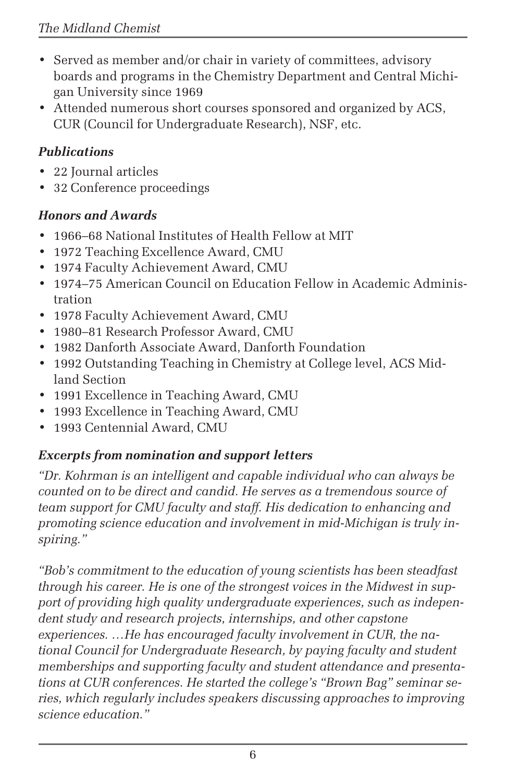- Served as member and/or chair in variety of committees, advisory boards and programs in the Chemistry Department and Central Michigan University since 1969
- Attended numerous short courses sponsored and organized by ACS, CUR (Council for Undergraduate Research), NSF, etc.

### *Publications*

- 22 Journal articles
- 32 Conference proceedings

### *Honors and Awards*

- 1966–68 National Institutes of Health Fellow at MIT
- 1972 Teaching Excellence Award, CMU
- 1974 Faculty Achievement Award, CMU
- 1974–75 American Council on Education Fellow in Academic Administration
- 1978 Faculty Achievement Award, CMU
- 1980–81 Research Professor Award, CMU
- 1982 Danforth Associate Award, Danforth Foundation
- 1992 Outstanding Teaching in Chemistry at College level, ACS Midland Section
- 1991 Excellence in Teaching Award, CMU
- 1993 Excellence in Teaching Award, CMU
- 1993 Centennial Award, CMU

## *Excerpts from nomination and support letters*

*"Dr. Kohrman is an intelligent and capable individual who can always be counted on to be direct and candid. He serves as a tremendous source of team support for CMU faculty and staff. His dedication to enhancing and promoting science education and involvement in mid-Michigan is truly inspiring."*

*"Bob's commitment to the education of young scientists has been steadfast through his career. He is one of the strongest voices in the Midwest in support of providing high quality undergraduate experiences, such as independent study and research projects, internships, and other capstone experiences. …He has encouraged faculty involvement in CUR, the national Council for Undergraduate Research, by paying faculty and student memberships and supporting faculty and student attendance and presentations at CUR conferences. He started the college's "Brown Bag" seminar series, which regularly includes speakers discussing approaches to improving science education."*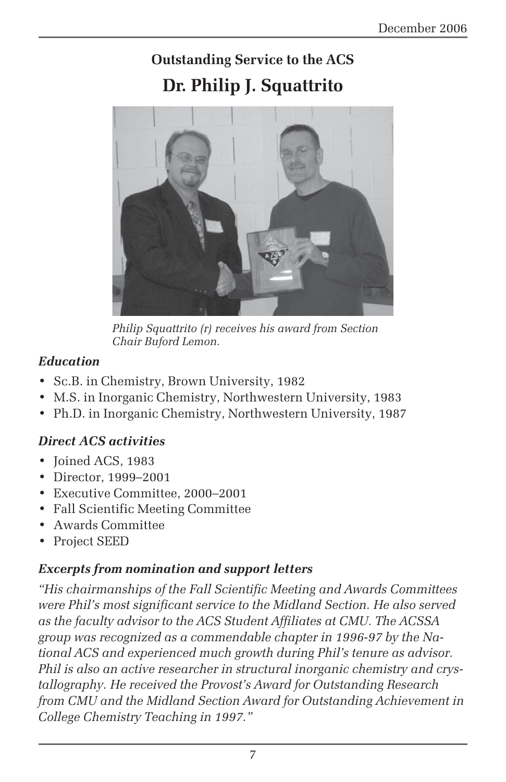## **Outstanding Service to the ACS Dr. Philip J. Squattrito**



*Philip Squattrito (r) receives his award from Section Chair Buford Lemon.*

### *Education*

- Sc.B. in Chemistry, Brown University, 1982
- M.S. in Inorganic Chemistry, Northwestern University, 1983
- Ph.D. in Inorganic Chemistry, Northwestern University, 1987

### *Direct ACS activities*

- Joined ACS, 1983
- Director, 1999–2001
- Executive Committee, 2000–2001
- Fall Scientific Meeting Committee
- Awards Committee
- Project SEED

#### *Excerpts from nomination and support letters*

*"His chairmanships of the Fall Scientific Meeting and Awards Committees were Phil's most significant service to the Midland Section. He also served as the faculty advisor to the ACS Student Affiliates at CMU. The ACSSA group was recognized as a commendable chapter in 1996-97 by the National ACS and experienced much growth during Phil's tenure as advisor. Phil is also an active researcher in structural inorganic chemistry and crystallography. He received the Provost's Award for Outstanding Research from CMU and the Midland Section Award for Outstanding Achievement in College Chemistry Teaching in 1997."*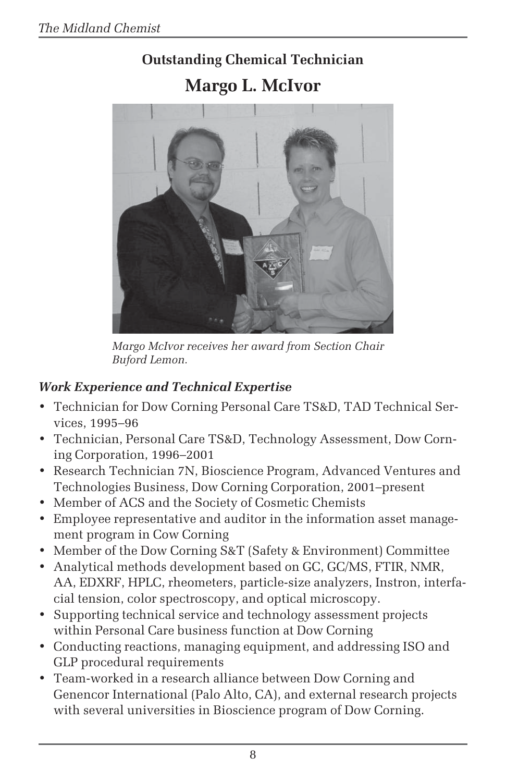# **Outstanding Chemical Technician Margo L. McIvor**



*Margo McIvor receives her award from Section Chair Buford Lemon.*

## *Work Experience and Technical Expertise*

- Technician for Dow Corning Personal Care TS&D, TAD Technical Services, 1995–96
- Technician, Personal Care TS&D, Technology Assessment, Dow Corning Corporation, 1996–2001
- Research Technician 7N, Bioscience Program, Advanced Ventures and Technologies Business, Dow Corning Corporation, 2001–present
- Member of ACS and the Society of Cosmetic Chemists
- Employee representative and auditor in the information asset management program in Cow Corning
- Member of the Dow Corning S&T (Safety & Environment) Committee
- Analytical methods development based on GC, GC/MS, FTIR, NMR, AA, EDXRF, HPLC, rheometers, particle-size analyzers, Instron, interfacial tension, color spectroscopy, and optical microscopy.
- Supporting technical service and technology assessment projects within Personal Care business function at Dow Corning
- Conducting reactions, managing equipment, and addressing ISO and GLP procedural requirements
- Team-worked in a research alliance between Dow Corning and Genencor International (Palo Alto, CA), and external research projects with several universities in Bioscience program of Dow Corning.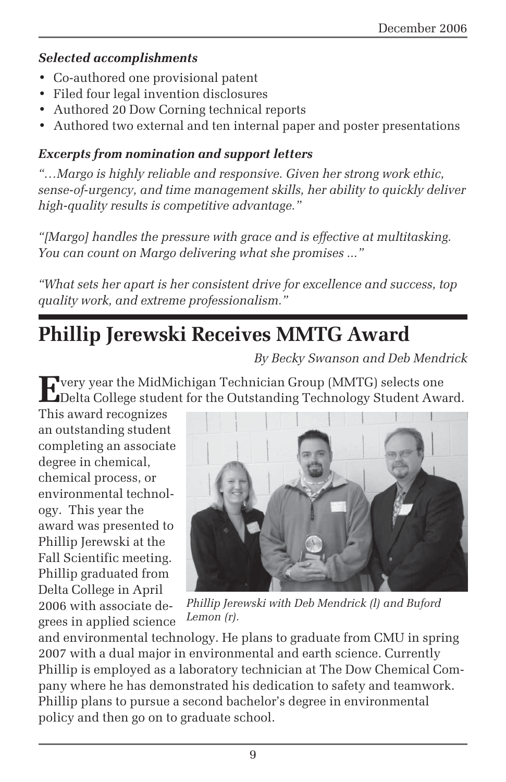### *Selected accomplishments*

- Co-authored one provisional patent
- Filed four legal invention disclosures
- Authored 20 Dow Corning technical reports
- Authored two external and ten internal paper and poster presentations

### *Excerpts from nomination and support letters*

*"…Margo is highly reliable and responsive. Given her strong work ethic, sense-of-urgency, and time management skills, her ability to quickly deliver high-quality results is competitive advantage."*

*"[Margo] handles the pressure with grace and is effective at multitasking. You can count on Margo delivering what she promises ..."*

*"What sets her apart is her consistent drive for excellence and success, top quality work, and extreme professionalism."*

# **Phillip Jerewski Receives MMTG Award**

*By Becky Swanson and Deb Mendrick*

**E**very year the MidMichigan Technician Group (MMTG) selects one **L** Delta College student for the Outstanding Technology Student Award.

This award recognizes an outstanding student completing an associate degree in chemical, chemical process, or environmental technology. This year the award was presented to Phillip Jerewski at the Fall Scientific meeting. Phillip graduated from Delta College in April 2006 with associate degrees in applied science



*Phillip Jerewski with Deb Mendrick (l) and Buford Lemon (r).*

and environmental technology. He plans to graduate from CMU in spring 2007 with a dual major in environmental and earth science. Currently Phillip is employed as a laboratory technician at The Dow Chemical Company where he has demonstrated his dedication to safety and teamwork. Phillip plans to pursue a second bachelor's degree in environmental policy and then go on to graduate school.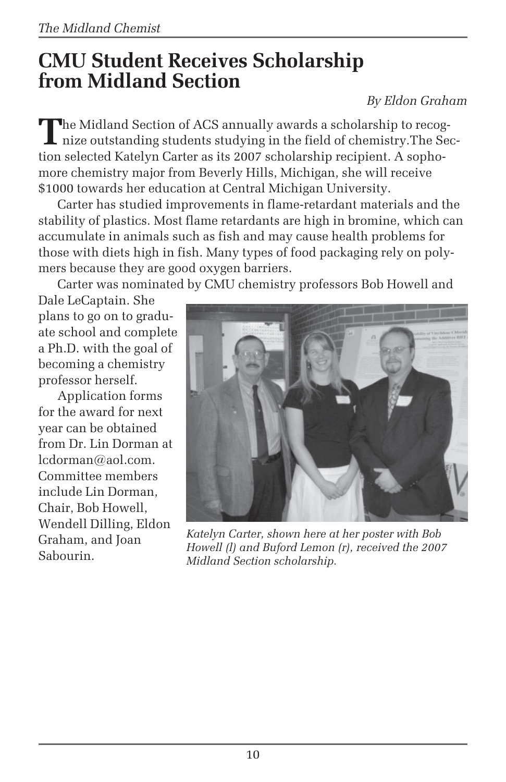# **CMU Student Receives Scholarship from Midland Section**

### *By Eldon Graham*

The Midland Section of ACS annually awards a scholarship to recog-<br>nize outstanding students studying in the field of chemistry.The Section selected Katelyn Carter as its 2007 scholarship recipient. A sophomore chemistry major from Beverly Hills, Michigan, she will receive \$1000 towards her education at Central Michigan University.

Carter has studied improvements in flame-retardant materials and the stability of plastics. Most flame retardants are high in bromine, which can accumulate in animals such as fish and may cause health problems for those with diets high in fish. Many types of food packaging rely on polymers because they are good oxygen barriers.

Carter was nominated by CMU chemistry professors Bob Howell and

Dale LeCaptain. She plans to go on to graduate school and complete a Ph.D. with the goal of becoming a chemistry professor herself.

Application forms for the award for next year can be obtained from Dr. Lin Dorman at lcdorman@aol.com. Committee members include Lin Dorman, Chair, Bob Howell, Wendell Dilling, Eldon Graham, and Joan Sabourin.



*Katelyn Carter, shown here at her poster with Bob Howell (l) and Buford Lemon (r), received the 2007 Midland Section scholarship.*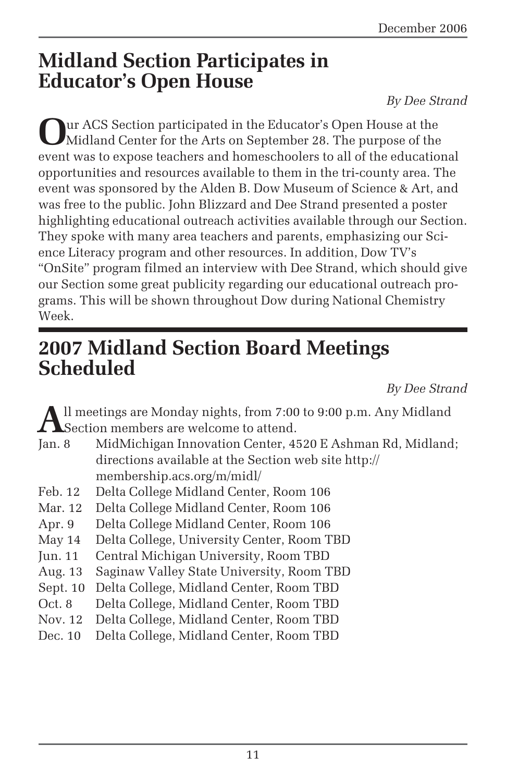# **Midland Section Participates in Educator's Open House**

#### *By Dee Strand*

**O**ur ACS Section participated in the Educator's Open House at the Midland Center for the Arts on September 28. The purpose of the event was to expose teachers and homeschoolers to all of the educational opportunities and resources available to them in the tri-county area. The event was sponsored by the Alden B. Dow Museum of Science & Art, and was free to the public. John Blizzard and Dee Strand presented a poster highlighting educational outreach activities available through our Section. They spoke with many area teachers and parents, emphasizing our Science Literacy program and other resources. In addition, Dow TV's "OnSite" program filmed an interview with Dee Strand, which should give our Section some great publicity regarding our educational outreach programs. This will be shown throughout Dow during National Chemistry Week.

# **2007 Midland Section Board Meetings Scheduled**

*By Dee Strand*

All meetings are Monday nights, from 7:00 to 9:00 p.m. Any Midland<br>Section members are welcome to attend.<br>Jan. 8 MidMichigan Innovation Center. 4520 E Ashman Rd. Midland Section members are welcome to attend.

- MidMichigan Innovation Center, 4520 E Ashman Rd, Midland; directions available at the Section web site http:// membership.acs.org/m/midl/
- Feb. 12 Delta College Midland Center, Room 106
- Mar. 12 Delta College Midland Center, Room 106
- Apr. 9 Delta College Midland Center, Room 106
- May 14 Delta College, University Center, Room TBD
- Jun. 11 Central Michigan University, Room TBD
- Aug. 13 Saginaw Valley State University, Room TBD
- Sept. 10 Delta College, Midland Center, Room TBD
- Oct. 8 Delta College, Midland Center, Room TBD
- Nov. 12 Delta College, Midland Center, Room TBD
- Dec. 10 Delta College, Midland Center, Room TBD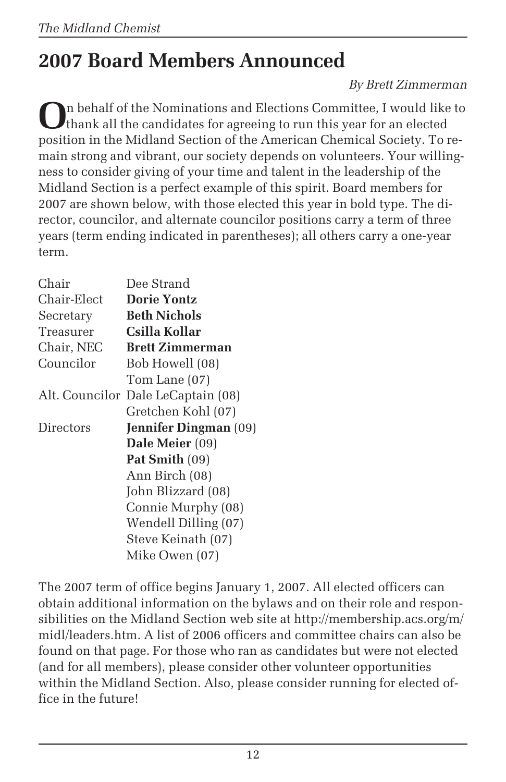# **2007 Board Members Announced**

#### *By Brett Zimmerman*

**O**n behalf of the Nominations and Elections Committee, I would like to thank all the candidates for agreeing to run this year for an elected position in the Midland Section of the American Chemical Society. To remain strong and vibrant, our society depends on volunteers. Your willingness to consider giving of your time and talent in the leadership of the Midland Section is a perfect example of this spirit. Board members for 2007 are shown below, with those elected this year in bold type. The director, councilor, and alternate councilor positions carry a term of three years (term ending indicated in parentheses); all others carry a one-year term.

| Chair          | Dee Strand                   |
|----------------|------------------------------|
| Chair-Elect    | <b>Dorie Yontz</b>           |
| Secretary      | <b>Beth Nichols</b>          |
| Treasurer      | Csilla Kollar                |
| Chair, NEC     | <b>Brett Zimmerman</b>       |
| Councilor      | Bob Howell (08)              |
|                | Tom Lane (07)                |
| Alt. Councilor | Dale LeCaptain (08)          |
|                | Gretchen Kohl (07)           |
|                |                              |
| Directors      | <b>Jennifer Dingman</b> (09) |
|                | Dale Meier (09)              |
|                | <b>Pat Smith</b> (09)        |
|                | Ann Birch (08)               |
|                | John Blizzard (08)           |
|                | Connie Murphy (08)           |
|                | Wendell Dilling (07)         |
|                | Steve Keinath (07)           |

The 2007 term of office begins January 1, 2007. All elected officers can obtain additional information on the bylaws and on their role and responsibilities on the Midland Section web site at http://membership.acs.org/m/ midl/leaders.htm. A list of 2006 officers and committee chairs can also be found on that page. For those who ran as candidates but were not elected (and for all members), please consider other volunteer opportunities within the Midland Section. Also, please consider running for elected office in the future!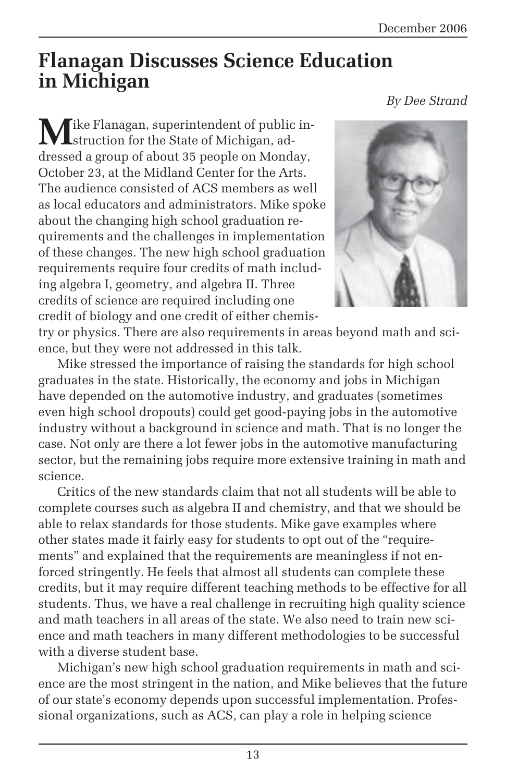## **Flanagan Discusses Science Education in Michigan**

Tike Flanagan, superintendent of public instruction for the State of Michigan, addressed a group of about 35 people on Monday, October 23, at the Midland Center for the Arts. The audience consisted of ACS members as well as local educators and administrators. Mike spoke about the changing high school graduation requirements and the challenges in implementation of these changes. The new high school graduation requirements require four credits of math including algebra I, geometry, and algebra II. Three credits of science are required including one credit of biology and one credit of either chemis-



try or physics. There are also requirements in areas beyond math and science, but they were not addressed in this talk.

Mike stressed the importance of raising the standards for high school graduates in the state. Historically, the economy and jobs in Michigan have depended on the automotive industry, and graduates (sometimes even high school dropouts) could get good-paying jobs in the automotive industry without a background in science and math. That is no longer the case. Not only are there a lot fewer jobs in the automotive manufacturing sector, but the remaining jobs require more extensive training in math and science.

Critics of the new standards claim that not all students will be able to complete courses such as algebra II and chemistry, and that we should be able to relax standards for those students. Mike gave examples where other states made it fairly easy for students to opt out of the "requirements" and explained that the requirements are meaningless if not enforced stringently. He feels that almost all students can complete these credits, but it may require different teaching methods to be effective for all students. Thus, we have a real challenge in recruiting high quality science and math teachers in all areas of the state. We also need to train new science and math teachers in many different methodologies to be successful with a diverse student base.

Michigan's new high school graduation requirements in math and science are the most stringent in the nation, and Mike believes that the future of our state's economy depends upon successful implementation. Professional organizations, such as ACS, can play a role in helping science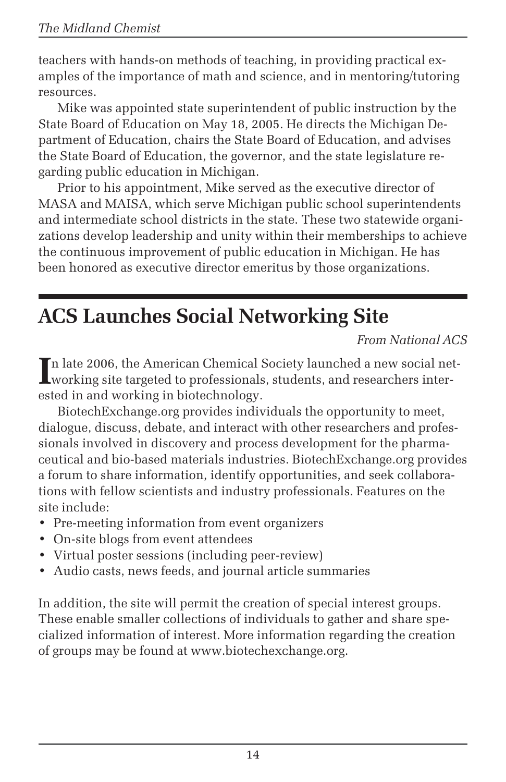teachers with hands-on methods of teaching, in providing practical examples of the importance of math and science, and in mentoring/tutoring resources.

Mike was appointed state superintendent of public instruction by the State Board of Education on May 18, 2005. He directs the Michigan Department of Education, chairs the State Board of Education, and advises the State Board of Education, the governor, and the state legislature regarding public education in Michigan.

Prior to his appointment, Mike served as the executive director of MASA and MAISA, which serve Michigan public school superintendents and intermediate school districts in the state. These two statewide organizations develop leadership and unity within their memberships to achieve the continuous improvement of public education in Michigan. He has been honored as executive director emeritus by those organizations.

# **ACS Launches Social Networking Site**

*From National ACS*

In late 2006, the American Chemical Society launched a new social net working site targeted to professionals, students, and researchers intern late 2006, the American Chemical Society launched a new social netested in and working in biotechnology.

BiotechExchange.org provides individuals the opportunity to meet, dialogue, discuss, debate, and interact with other researchers and professionals involved in discovery and process development for the pharmaceutical and bio-based materials industries. BiotechExchange.org provides a forum to share information, identify opportunities, and seek collaborations with fellow scientists and industry professionals. Features on the site include:

- Pre-meeting information from event organizers
- On-site blogs from event attendees
- Virtual poster sessions (including peer-review)
- Audio casts, news feeds, and journal article summaries

In addition, the site will permit the creation of special interest groups. These enable smaller collections of individuals to gather and share specialized information of interest. More information regarding the creation of groups may be found at www.biotechexchange.org.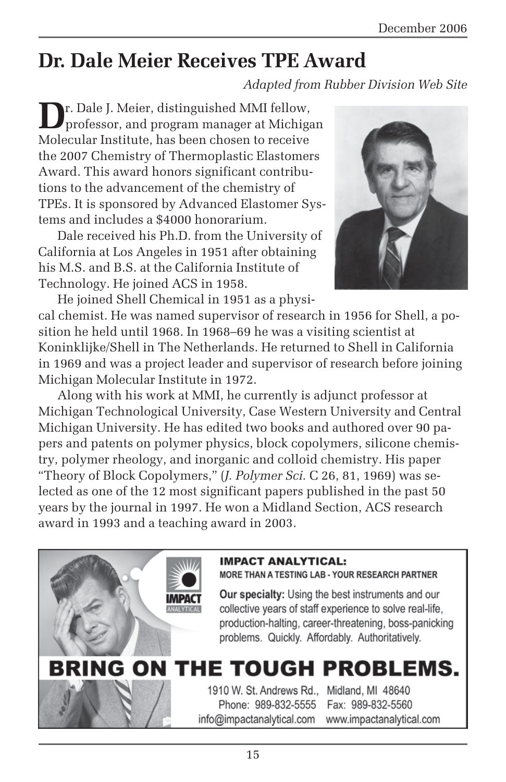# **Dr. Dale Meier Receives TPE Award**

*Adapted from Rubber Division Web Site*

**D**r. Dale J. Meier, distinguished MMI fellow, professor, and program manager at Michigan Molecular Institute, has been chosen to receive the 2007 Chemistry of Thermoplastic Elastomers Award. This award honors significant contributions to the advancement of the chemistry of TPEs. It is sponsored by Advanced Elastomer Systems and includes a \$4000 honorarium.

Dale received his Ph.D. from the University of California at Los Angeles in 1951 after obtaining his M.S. and B.S. at the California Institute of Technology. He joined ACS in 1958.



He joined Shell Chemical in 1951 as a physical chemist. He was named supervisor of research in 1956 for Shell, a position he held until 1968. In 1968–69 he was a visiting scientist at Koninklijke/Shell in The Netherlands. He returned to Shell in California in 1969 and was a project leader and supervisor of research before joining Michigan Molecular Institute in 1972.

Along with his work at MMI, he currently is adjunct professor at Michigan Technological University, Case Western University and Central Michigan University. He has edited two books and authored over 90 papers and patents on polymer physics, block copolymers, silicone chemistry, polymer rheology, and inorganic and colloid chemistry. His paper "Theory of Block Copolymers," (*J. Polymer Sci.* C 26, 81, 1969) was selected as one of the 12 most significant papers published in the past 50 years by the journal in 1997. He won a Midland Section, ACS research award in 1993 and a teaching award in 2003.

#### **IMPACT ANALYTICAL:**

MORE THAN A TESTING LAB - YOUR RESEARCH PARTNER

Our specialty: Using the best instruments and our collective years of staff experience to solve real-life, production-halting, career-threatening, boss-panicking problems. Quickly. Affordably. Authoritatively.

# BRING ON THE TOUGH PROBLEMS.

1910 W. St. Andrews Rd., Midland, MI 48640 Phone: 989-832-5555 info@impactanalytical.com

Fax: 989-832-5560 www.impactanalytical.com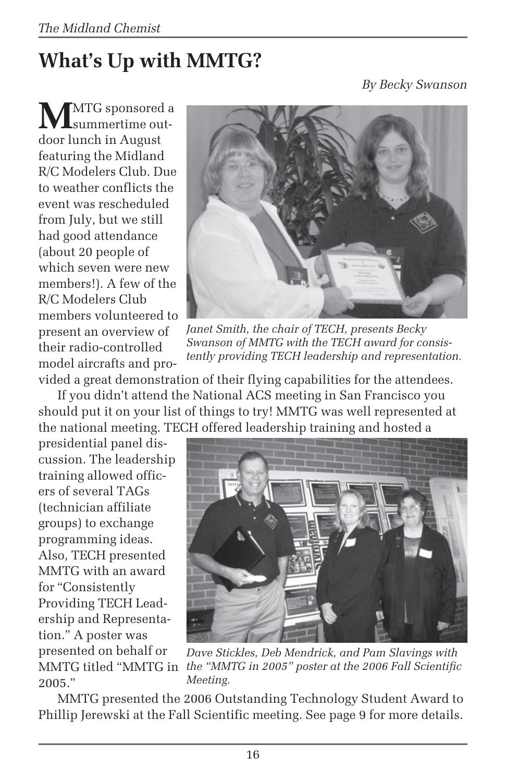# **What's Up with MMTG?**

*By Becky Swanson*

**M**MTG sponsored a summertime outdoor lunch in August featuring the Midland R/C Modelers Club. Due to weather conflicts the event was rescheduled from July, but we still had good attendance (about 20 people of which seven were new members!). A few of the R/C Modelers Club members volunteered to present an overview of their radio-controlled model aircrafts and pro-



*Janet Smith, the chair of TECH, presents Becky Swanson of MMTG with the TECH award for consistently providing TECH leadership and representation.*

vided a great demonstration of their flying capabilities for the attendees.

If you didn't attend the National ACS meeting in San Francisco you should put it on your list of things to try! MMTG was well represented at the national meeting. TECH offered leadership training and hosted a

presidential panel discussion. The leadership training allowed officers of several TAGs (technician affiliate groups) to exchange programming ideas. Also, TECH presented MMTG with an award for "Consistently Providing TECH Leadership and Representation." A poster was presented on behalf or 2005."



MMTG titled "MMTG in *the "MMTG in 2005" poster at the 2006 Fall Scientific Dave Stickles, Deb Mendrick, and Pam Slavings with Meeting.*

MMTG presented the 2006 Outstanding Technology Student Award to Phillip Jerewski at the Fall Scientific meeting. See page 9 for more details.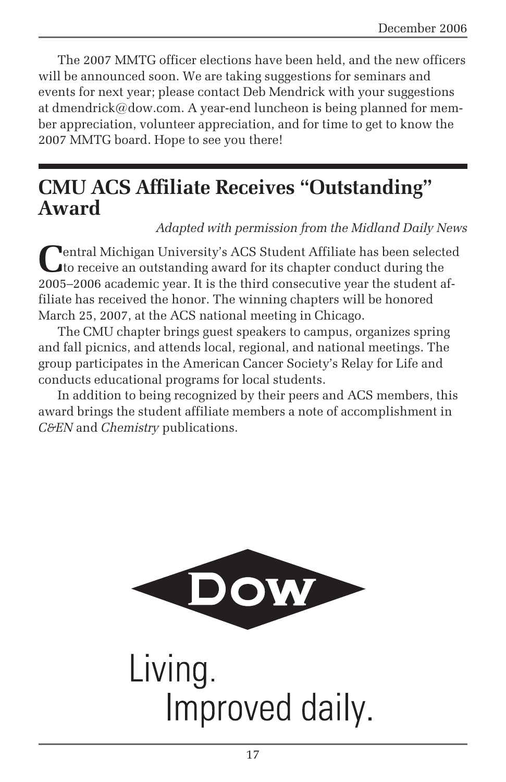The 2007 MMTG officer elections have been held, and the new officers will be announced soon. We are taking suggestions for seminars and events for next year; please contact Deb Mendrick with your suggestions at dmendrick@dow.com. A year-end luncheon is being planned for member appreciation, volunteer appreciation, and for time to get to know the 2007 MMTG board. Hope to see you there!

# **CMU ACS Affiliate Receives "Outstanding" Award**

*Adapted with permission from the Midland Daily News*

**Pentral Michigan University's ACS Student Affiliate has been selected** to receive an outstanding award for its chapter conduct during the 2005–2006 academic year. It is the third consecutive year the student affiliate has received the honor. The winning chapters will be honored March 25, 2007, at the ACS national meeting in Chicago.

The CMU chapter brings guest speakers to campus, organizes spring and fall picnics, and attends local, regional, and national meetings. The group participates in the American Cancer Society's Relay for Life and conducts educational programs for local students.

In addition to being recognized by their peers and ACS members, this award brings the student affiliate members a note of accomplishment in *C&EN* and *Chemistry* publications.



Living. Improved daily.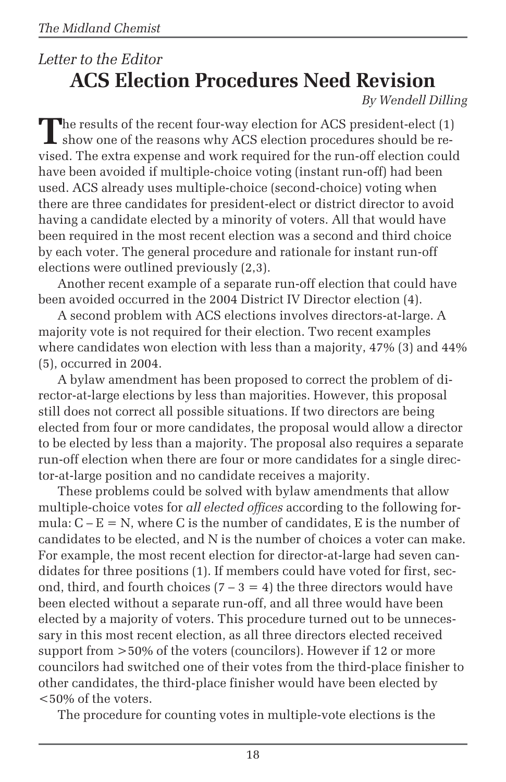# *Letter to the Editor* **ACS Election Procedures Need Revision**

*By Wendell Dilling*

The results of the recent four-way election for ACS president-elect (1) show one of the reasons why ACS election procedures should be revised. The extra expense and work required for the run-off election could have been avoided if multiple-choice voting (instant run-off) had been used. ACS already uses multiple-choice (second-choice) voting when there are three candidates for president-elect or district director to avoid having a candidate elected by a minority of voters. All that would have been required in the most recent election was a second and third choice by each voter. The general procedure and rationale for instant run-off elections were outlined previously (2,3).

Another recent example of a separate run-off election that could have been avoided occurred in the 2004 District IV Director election (4).

A second problem with ACS elections involves directors-at-large. A majority vote is not required for their election. Two recent examples where candidates won election with less than a majority, 47% (3) and 44% (5), occurred in 2004.

A bylaw amendment has been proposed to correct the problem of director-at-large elections by less than majorities. However, this proposal still does not correct all possible situations. If two directors are being elected from four or more candidates, the proposal would allow a director to be elected by less than a majority. The proposal also requires a separate run-off election when there are four or more candidates for a single director-at-large position and no candidate receives a majority.

These problems could be solved with bylaw amendments that allow multiple-choice votes for *all elected offices* according to the following formula:  $C - E = N$ , where C is the number of candidates, E is the number of candidates to be elected, and N is the number of choices a voter can make. For example, the most recent election for director-at-large had seven candidates for three positions (1). If members could have voted for first, second, third, and fourth choices  $(7 - 3 = 4)$  the three directors would have been elected without a separate run-off, and all three would have been elected by a majority of voters. This procedure turned out to be unnecessary in this most recent election, as all three directors elected received support from >50% of the voters (councilors). However if 12 or more councilors had switched one of their votes from the third-place finisher to other candidates, the third-place finisher would have been elected by <50% of the voters.

The procedure for counting votes in multiple-vote elections is the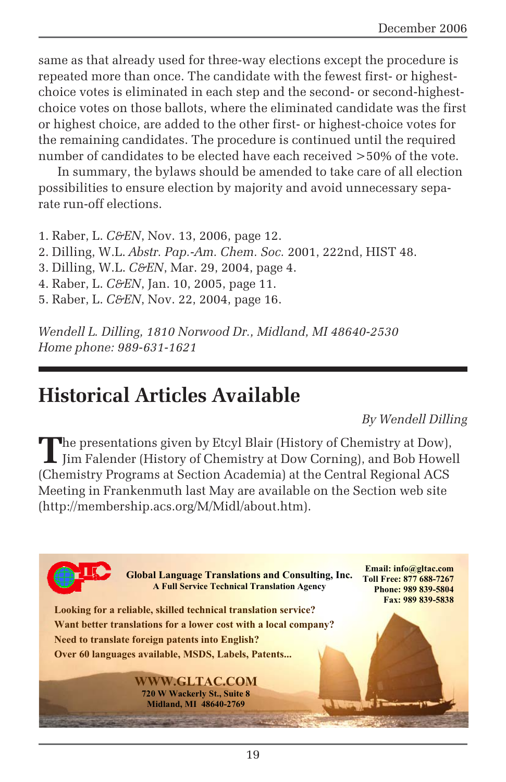same as that already used for three-way elections except the procedure is repeated more than once. The candidate with the fewest first- or highestchoice votes is eliminated in each step and the second- or second-highestchoice votes on those ballots, where the eliminated candidate was the first or highest choice, are added to the other first- or highest-choice votes for the remaining candidates. The procedure is continued until the required number of candidates to be elected have each received >50% of the vote.

In summary, the bylaws should be amended to take care of all election possibilities to ensure election by majority and avoid unnecessary separate run-off elections.

1. Raber, L. *C&EN*, Nov. 13, 2006, page 12.

2. Dilling, W.L. *Abstr. Pap.-Am. Chem. Soc.* 2001, 222nd, HIST 48.

3. Dilling, W.L. *C&EN*, Mar. 29, 2004, page 4.

4. Raber, L. *C&EN*, Jan. 10, 2005, page 11.

5. Raber, L. *C&EN*, Nov. 22, 2004, page 16.

*Wendell L. Dilling, 1810 Norwood Dr., Midland, MI 48640-2530 Home phone: 989-631-1621*

# **Historical Articles Available**

*By Wendell Dilling*

The presentations given by Etcyl Blair (History of Chemistry at Dow),<br>Jim Falender (History of Chemistry at Dow Corning), and Bob Howell<br>
Sales **Property at Dow Corning**), and Bob Howell (Chemistry Programs at Section Academia) at the Central Regional ACS Meeting in Frankenmuth last May are available on the Section web site (http://membership.acs.org/M/Midl/about.htm).

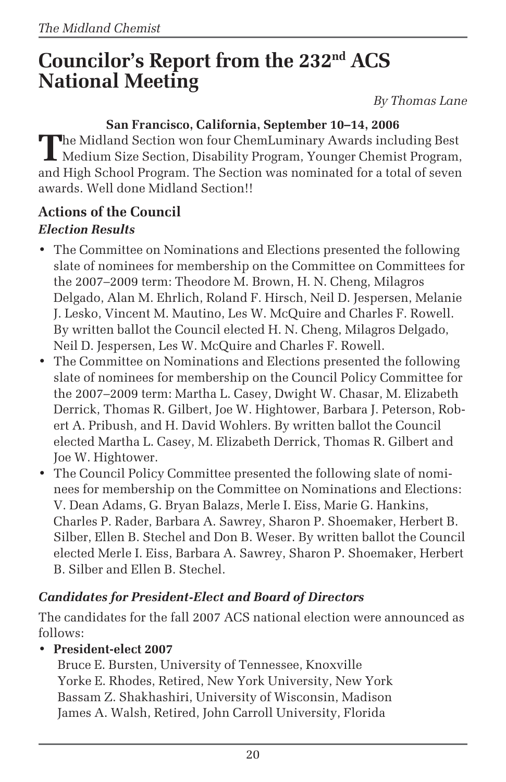# **Councilor's Report from the 232nd ACS National Meeting**

*By Thomas Lane*

### **San Francisco, California, September 10–14, 2006**

The Midland Section won four ChemLuminary Awards including Best<br>Medium Size Section, Disability Program, Younger Chemist Program, and High School Program. The Section was nominated for a total of seven awards. Well done Midland Section!!

### **Actions of the Council** *Election Results*

- The Committee on Nominations and Elections presented the following slate of nominees for membership on the Committee on Committees for the 2007–2009 term: Theodore M. Brown, H. N. Cheng, Milagros Delgado, Alan M. Ehrlich, Roland F. Hirsch, Neil D. Jespersen, Melanie J. Lesko, Vincent M. Mautino, Les W. McQuire and Charles F. Rowell. By written ballot the Council elected H. N. Cheng, Milagros Delgado, Neil D. Jespersen, Les W. McQuire and Charles F. Rowell.
- The Committee on Nominations and Elections presented the following slate of nominees for membership on the Council Policy Committee for the 2007–2009 term: Martha L. Casey, Dwight W. Chasar, M. Elizabeth Derrick, Thomas R. Gilbert, Joe W. Hightower, Barbara J. Peterson, Robert A. Pribush, and H. David Wohlers. By written ballot the Council elected Martha L. Casey, M. Elizabeth Derrick, Thomas R. Gilbert and Joe W. Hightower.
- The Council Policy Committee presented the following slate of nominees for membership on the Committee on Nominations and Elections: V. Dean Adams, G. Bryan Balazs, Merle I. Eiss, Marie G. Hankins, Charles P. Rader, Barbara A. Sawrey, Sharon P. Shoemaker, Herbert B. Silber, Ellen B. Stechel and Don B. Weser. By written ballot the Council elected Merle I. Eiss, Barbara A. Sawrey, Sharon P. Shoemaker, Herbert B. Silber and Ellen B. Stechel.

### *Candidates for President-Elect and Board of Directors*

The candidates for the fall 2007 ACS national election were announced as follows:

#### • **President-elect 2007**

Bruce E. Bursten, University of Tennessee, Knoxville Yorke E. Rhodes, Retired, New York University, New York Bassam Z. Shakhashiri, University of Wisconsin, Madison James A. Walsh, Retired, John Carroll University, Florida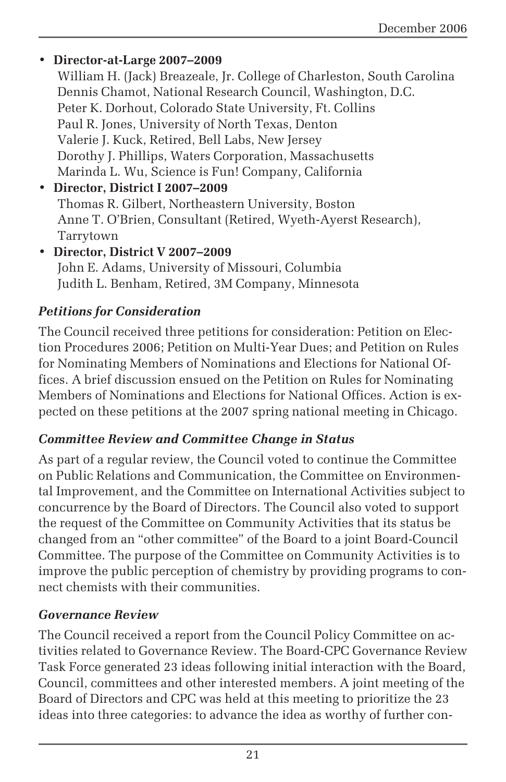#### • **Director-at-Large 2007–2009** William H. (Jack) Breazeale, Jr. College of Charleston, South Carolina Dennis Chamot, National Research Council, Washington, D.C. Peter K. Dorhout, Colorado State University, Ft. Collins Paul R. Jones, University of North Texas, Denton Valerie J. Kuck, Retired, Bell Labs, New Jersey Dorothy J. Phillips, Waters Corporation, Massachusetts Marinda L. Wu, Science is Fun! Company, California • **Director, District I 2007–2009** Thomas R. Gilbert, Northeastern University, Boston Anne T. O'Brien, Consultant (Retired, Wyeth-Ayerst Research), Tarrytown

• **Director, District V 2007–2009** John E. Adams, University of Missouri, Columbia Judith L. Benham, Retired, 3M Company, Minnesota

### *Petitions for Consideration*

The Council received three petitions for consideration: Petition on Election Procedures 2006; Petition on Multi-Year Dues; and Petition on Rules for Nominating Members of Nominations and Elections for National Offices. A brief discussion ensued on the Petition on Rules for Nominating Members of Nominations and Elections for National Offices. Action is expected on these petitions at the 2007 spring national meeting in Chicago.

### *Committee Review and Committee Change in Status*

As part of a regular review, the Council voted to continue the Committee on Public Relations and Communication, the Committee on Environmental Improvement, and the Committee on International Activities subject to concurrence by the Board of Directors. The Council also voted to support the request of the Committee on Community Activities that its status be changed from an "other committee" of the Board to a joint Board-Council Committee. The purpose of the Committee on Community Activities is to improve the public perception of chemistry by providing programs to connect chemists with their communities.

### *Governance Review*

The Council received a report from the Council Policy Committee on activities related to Governance Review. The Board-CPC Governance Review Task Force generated 23 ideas following initial interaction with the Board, Council, committees and other interested members. A joint meeting of the Board of Directors and CPC was held at this meeting to prioritize the 23 ideas into three categories: to advance the idea as worthy of further con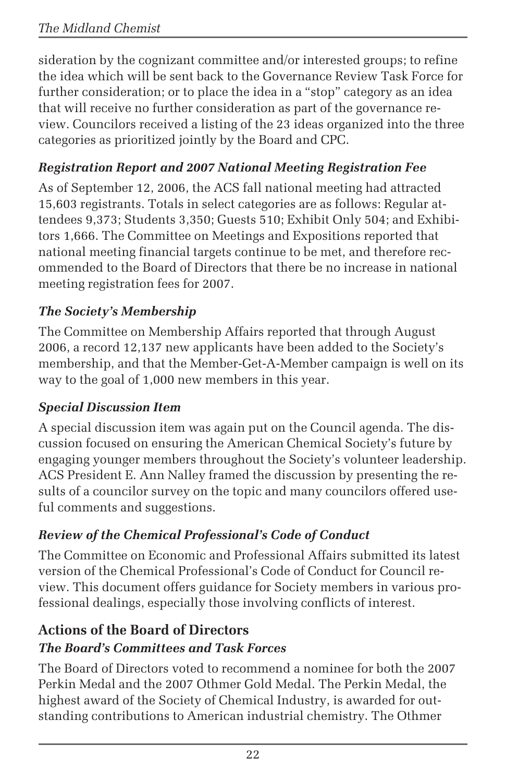sideration by the cognizant committee and/or interested groups; to refine the idea which will be sent back to the Governance Review Task Force for further consideration; or to place the idea in a "stop" category as an idea that will receive no further consideration as part of the governance review. Councilors received a listing of the 23 ideas organized into the three categories as prioritized jointly by the Board and CPC.

### *Registration Report and 2007 National Meeting Registration Fee*

As of September 12, 2006, the ACS fall national meeting had attracted 15,603 registrants. Totals in select categories are as follows: Regular attendees 9,373; Students 3,350; Guests 510; Exhibit Only 504; and Exhibitors 1,666. The Committee on Meetings and Expositions reported that national meeting financial targets continue to be met, and therefore recommended to the Board of Directors that there be no increase in national meeting registration fees for 2007.

### *The Society's Membership*

The Committee on Membership Affairs reported that through August 2006, a record 12,137 new applicants have been added to the Society's membership, and that the Member-Get-A-Member campaign is well on its way to the goal of 1,000 new members in this year.

### *Special Discussion Item*

A special discussion item was again put on the Council agenda. The discussion focused on ensuring the American Chemical Society's future by engaging younger members throughout the Society's volunteer leadership. ACS President E. Ann Nalley framed the discussion by presenting the results of a councilor survey on the topic and many councilors offered useful comments and suggestions.

### *Review of the Chemical Professional's Code of Conduct*

The Committee on Economic and Professional Affairs submitted its latest version of the Chemical Professional's Code of Conduct for Council review. This document offers guidance for Society members in various professional dealings, especially those involving conflicts of interest.

### **Actions of the Board of Directors** *The Board's Committees and Task Forces*

The Board of Directors voted to recommend a nominee for both the 2007 Perkin Medal and the 2007 Othmer Gold Medal. The Perkin Medal, the highest award of the Society of Chemical Industry, is awarded for outstanding contributions to American industrial chemistry. The Othmer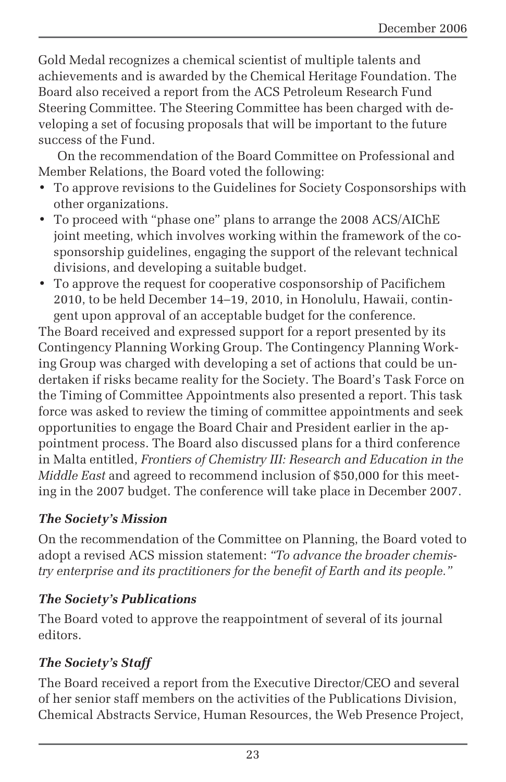Gold Medal recognizes a chemical scientist of multiple talents and achievements and is awarded by the Chemical Heritage Foundation. The Board also received a report from the ACS Petroleum Research Fund Steering Committee. The Steering Committee has been charged with developing a set of focusing proposals that will be important to the future success of the Fund.

On the recommendation of the Board Committee on Professional and Member Relations, the Board voted the following:

- To approve revisions to the Guidelines for Society Cosponsorships with other organizations.
- To proceed with "phase one" plans to arrange the 2008 ACS/AIChE joint meeting, which involves working within the framework of the cosponsorship guidelines, engaging the support of the relevant technical divisions, and developing a suitable budget.
- To approve the request for cooperative cosponsorship of Pacifichem 2010, to be held December 14–19, 2010, in Honolulu, Hawaii, contingent upon approval of an acceptable budget for the conference.

The Board received and expressed support for a report presented by its Contingency Planning Working Group. The Contingency Planning Working Group was charged with developing a set of actions that could be undertaken if risks became reality for the Society. The Board's Task Force on the Timing of Committee Appointments also presented a report. This task force was asked to review the timing of committee appointments and seek opportunities to engage the Board Chair and President earlier in the appointment process. The Board also discussed plans for a third conference in Malta entitled, *Frontiers of Chemistry III: Research and Education in the Middle East* and agreed to recommend inclusion of \$50,000 for this meeting in the 2007 budget. The conference will take place in December 2007.

#### *The Society's Mission*

On the recommendation of the Committee on Planning, the Board voted to adopt a revised ACS mission statement: *"To advance the broader chemistry enterprise and its practitioners for the benefit of Earth and its people."*

### *The Society's Publications*

The Board voted to approve the reappointment of several of its journal editors.

### *The Society's Staff*

The Board received a report from the Executive Director/CEO and several of her senior staff members on the activities of the Publications Division, Chemical Abstracts Service, Human Resources, the Web Presence Project,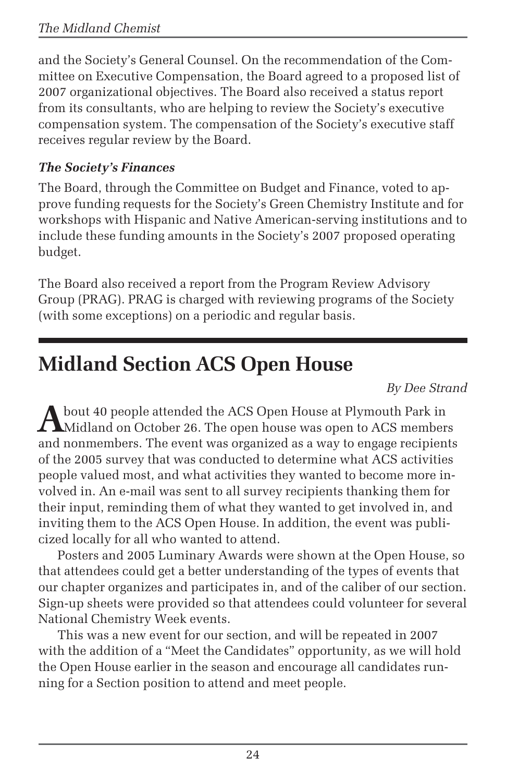and the Society's General Counsel. On the recommendation of the Committee on Executive Compensation, the Board agreed to a proposed list of 2007 organizational objectives. The Board also received a status report from its consultants, who are helping to review the Society's executive compensation system. The compensation of the Society's executive staff receives regular review by the Board.

### *The Society's Finances*

The Board, through the Committee on Budget and Finance, voted to approve funding requests for the Society's Green Chemistry Institute and for workshops with Hispanic and Native American-serving institutions and to include these funding amounts in the Society's 2007 proposed operating budget.

The Board also received a report from the Program Review Advisory Group (PRAG). PRAG is charged with reviewing programs of the Society (with some exceptions) on a periodic and regular basis.

# **Midland Section ACS Open House**

*By Dee Strand*

A bout 40 people attended the ACS Open House at Plymouth Park in<br>Midland on October 26. The open house was open to ACS members and nonmembers. The event was organized as a way to engage recipients of the 2005 survey that was conducted to determine what ACS activities people valued most, and what activities they wanted to become more involved in. An e-mail was sent to all survey recipients thanking them for their input, reminding them of what they wanted to get involved in, and inviting them to the ACS Open House. In addition, the event was publicized locally for all who wanted to attend.

Posters and 2005 Luminary Awards were shown at the Open House, so that attendees could get a better understanding of the types of events that our chapter organizes and participates in, and of the caliber of our section. Sign-up sheets were provided so that attendees could volunteer for several National Chemistry Week events.

This was a new event for our section, and will be repeated in 2007 with the addition of a "Meet the Candidates" opportunity, as we will hold the Open House earlier in the season and encourage all candidates running for a Section position to attend and meet people.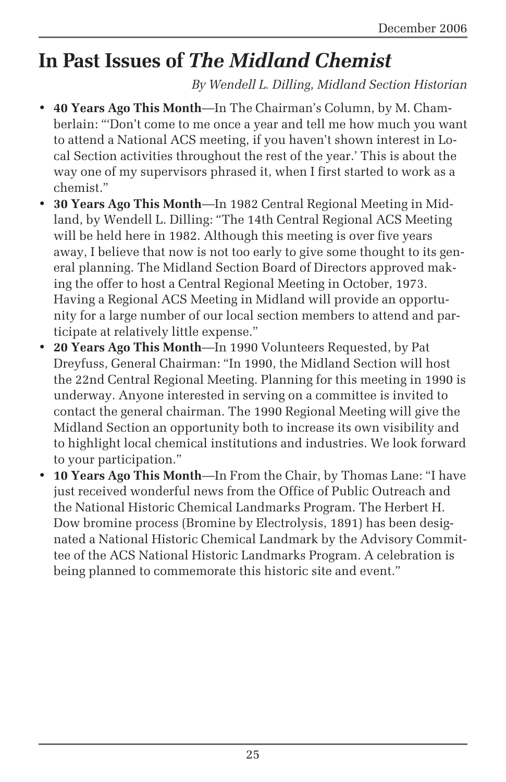# **In Past Issues of** *The Midland Chemist*

*By Wendell L. Dilling, Midland Section Historian*

- **40 Years Ago This Month**—In The Chairman's Column, by M. Chamberlain: "'Don't come to me once a year and tell me how much you want to attend a National ACS meeting, if you haven't shown interest in Local Section activities throughout the rest of the year.' This is about the way one of my supervisors phrased it, when I first started to work as a chemist."
- **30 Years Ago This Month**—In 1982 Central Regional Meeting in Midland, by Wendell L. Dilling: "The 14th Central Regional ACS Meeting will be held here in 1982. Although this meeting is over five years away, I believe that now is not too early to give some thought to its general planning. The Midland Section Board of Directors approved making the offer to host a Central Regional Meeting in October, 1973. Having a Regional ACS Meeting in Midland will provide an opportunity for a large number of our local section members to attend and participate at relatively little expense."
- **20 Years Ago This Month**—In 1990 Volunteers Requested, by Pat Dreyfuss, General Chairman: "In 1990, the Midland Section will host the 22nd Central Regional Meeting. Planning for this meeting in 1990 is underway. Anyone interested in serving on a committee is invited to contact the general chairman. The 1990 Regional Meeting will give the Midland Section an opportunity both to increase its own visibility and to highlight local chemical institutions and industries. We look forward to your participation."
- **10 Years Ago This Month**—In From the Chair, by Thomas Lane: "I have just received wonderful news from the Office of Public Outreach and the National Historic Chemical Landmarks Program. The Herbert H. Dow bromine process (Bromine by Electrolysis, 1891) has been designated a National Historic Chemical Landmark by the Advisory Committee of the ACS National Historic Landmarks Program. A celebration is being planned to commemorate this historic site and event."